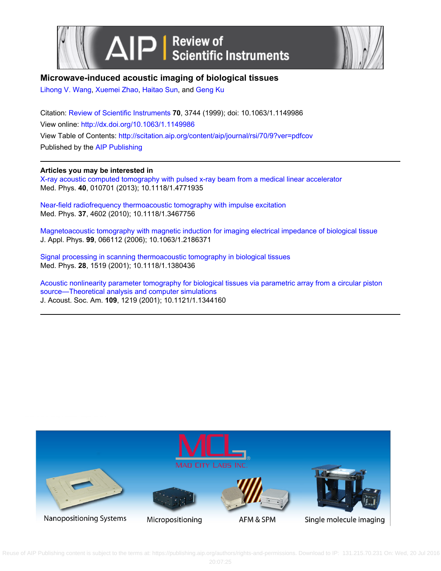



# **Microwave-induced acoustic imaging of biological tissues**

[Lihong V. Wang](http://scitation.aip.org/search?value1=Lihong+V.+Wang&option1=author), [Xuemei Zhao](http://scitation.aip.org/search?value1=Xuemei+Zhao&option1=author), [Haitao Sun](http://scitation.aip.org/search?value1=Haitao+Sun&option1=author), and [Geng Ku](http://scitation.aip.org/search?value1=Geng+Ku&option1=author)

Citation: [Review of Scientific Instruments](http://scitation.aip.org/content/aip/journal/rsi?ver=pdfcov) **70**, 3744 (1999); doi: 10.1063/1.1149986 View online: <http://dx.doi.org/10.1063/1.1149986> View Table of Contents: <http://scitation.aip.org/content/aip/journal/rsi/70/9?ver=pdfcov> Published by the [AIP Publishing](http://scitation.aip.org/content/aip?ver=pdfcov)

**Articles you may be interested in**

[X-ray acoustic computed tomography with pulsed x-ray beam from a medical linear accelerator](http://scitation.aip.org/content/aapm/journal/medphys/40/1/10.1118/1.4771935?ver=pdfcov) Med. Phys. **40**, 010701 (2013); 10.1118/1.4771935

[Near-field radiofrequency thermoacoustic tomography with impulse excitation](http://scitation.aip.org/content/aapm/journal/medphys/37/9/10.1118/1.3467756?ver=pdfcov) Med. Phys. **37**, 4602 (2010); 10.1118/1.3467756

[Magnetoacoustic tomography with magnetic induction for imaging electrical impedance of biological tissue](http://scitation.aip.org/content/aip/journal/jap/99/6/10.1063/1.2186371?ver=pdfcov) J. Appl. Phys. **99**, 066112 (2006); 10.1063/1.2186371

[Signal processing in scanning thermoacoustic tomography in biological tissues](http://scitation.aip.org/content/aapm/journal/medphys/28/7/10.1118/1.1380436?ver=pdfcov) Med. Phys. **28**, 1519 (2001); 10.1118/1.1380436

[Acoustic nonlinearity parameter tomography for biological tissues via parametric array from a circular piston](http://scitation.aip.org/content/asa/journal/jasa/109/3/10.1121/1.1344160?ver=pdfcov) [source—Theoretical analysis and computer simulations](http://scitation.aip.org/content/asa/journal/jasa/109/3/10.1121/1.1344160?ver=pdfcov) J. Acoust. Soc. Am. **109**, 1219 (2001); 10.1121/1.1344160



Reuse of AIP Publishing content is subject to the terms at: https://publishing.aip.org/authors/rights-and-permissions. Download to IP: 131.215.70.231 On: Wed, 20 Jul 2016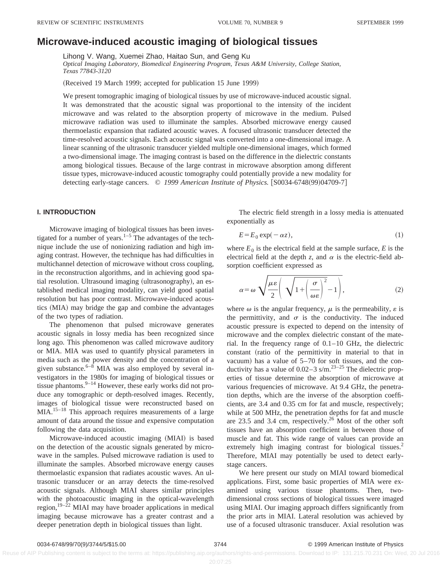# **Microwave-induced acoustic imaging of biological tissues**

Lihong V. Wang, Xuemei Zhao, Haitao Sun, and Geng Ku

*Optical Imaging Laboratory, Biomedical Engineering Program, Texas A&M University, College Station, Texas 77843-3120*

(Received 19 March 1999; accepted for publication 15 June 1999)

We present tomographic imaging of biological tissues by use of microwave-induced acoustic signal. It was demonstrated that the acoustic signal was proportional to the intensity of the incident microwave and was related to the absorption property of microwave in the medium. Pulsed microwave radiation was used to illuminate the samples. Absorbed microwave energy caused thermoelastic expansion that radiated acoustic waves. A focused ultrasonic transducer detected the time-resolved acoustic signals. Each acoustic signal was converted into a one-dimensional image. A linear scanning of the ultrasonic transducer yielded multiple one-dimensional images, which formed a two-dimensional image. The imaging contrast is based on the difference in the dielectric constants among biological tissues. Because of the large contrast in microwave absorption among different tissue types, microwave-induced acoustic tomography could potentially provide a new modality for detecting early-stage cancers. © 1999 American Institute of Physics. [S0034-6748(99)04709-7]

### **I. INTRODUCTION**

Microwave imaging of biological tissues has been investigated for a number of years. $1-5$  The advantages of the technique include the use of nonionizing radiation and high imaging contrast. However, the technique has had difficulties in multichannel detection of microwave without cross coupling, in the reconstruction algorithms, and in achieving good spatial resolution. Ultrasound imaging (ultrasonography), an established medical imaging modality, can yield good spatial resolution but has poor contrast. Microwave-induced acoustics (MIA) may bridge the gap and combine the advantages of the two types of radiation.

The phenomenon that pulsed microwave generates acoustic signals in lossy media has been recognized since long ago. This phenomenon was called microwave auditory or MIA. MIA was used to quantify physical parameters in media such as the power density and the concentration of a given substance. $6-8$  MIA was also employed by several investigators in the 1980s for imaging of biological tissues or tissue phantoms. $9-14$  However, these early works did not produce any tomographic or depth-resolved images. Recently, images of biological tissue were reconstructed based on MIA.<sup>15–18</sup> This approach requires measurements of a large amount of data around the tissue and expensive computation following the data acquisition.

Microwave-induced acoustic imaging (MIAI) is based on the detection of the acoustic signals generated by microwave in the samples. Pulsed microwave radiation is used to illuminate the samples. Absorbed microwave energy causes thermoelastic expansion that radiates acoustic waves. An ultrasonic transducer or an array detects the time-resolved acoustic signals. Although MIAI shares similar principles with the photoacoustic imaging in the optical-wavelength region,<sup>19–22</sup> MIAI may have broader applications in medical imaging because microwave has a greater contrast and a deeper penetration depth in biological tissues than light.

The electric field strength in a lossy media is attenuated exponentially as

$$
E = E_0 \exp(-\alpha z),\tag{1}
$$

where  $E_0$  is the electrical field at the sample surface,  $E$  is the electrical field at the depth *z*, and  $\alpha$  is the electric-field absorption coefficient expressed as

$$
\alpha = \omega \sqrt{\frac{\mu \varepsilon}{2} \left( \sqrt{1 + \left( \frac{\sigma}{\omega \varepsilon} \right)^2} - 1 \right)},
$$
 (2)

where  $\omega$  is the angular frequency,  $\mu$  is the permeability,  $\varepsilon$  is the permittivity, and  $\sigma$  is the conductivity. The induced acoustic pressure is expected to depend on the intensity of microwave and the complex dielectric constant of the material. In the frequency range of 0.1–10 GHz, the dielectric constant (ratio of the permittivity in material to that in vacuum) has a value of  $5-70$  for soft tissues, and the conductivity has a value of  $0.02-3$  s/m.<sup>23-25</sup> The dielectric properties of tissue determine the absorption of microwave at various frequencies of microwave. At 9.4 GHz, the penetration depths, which are the inverse of the absorption coefficients, are 3.4 and 0.35 cm for fat and muscle, respectively; while at 500 MHz, the penetration depths for fat and muscle are 23.5 and 3.4 cm, respectively.<sup>26</sup> Most of the other soft tissues have an absorption coefficient in between those of muscle and fat. This wide range of values can provide an extremely high imaging contrast for biological tissues.<sup>2</sup> Therefore, MIAI may potentially be used to detect earlystage cancers.

We here present our study on MIAI toward biomedical applications. First, some basic properties of MIA were examined using various tissue phantoms. Then, twodimensional cross sections of biological tissues were imaged using MIAI. Our imaging approach differs significantly from the prior arts in MIAI. Lateral resolution was achieved by use of a focused ultrasonic transducer. Axial resolution was

Reuse of AIP Publishing content is subject to the terms at: https://publishing.aip.org/authors/rights-and-permissions. Download to IP: 131.215.70.231 On: Wed, 20 Jul 2016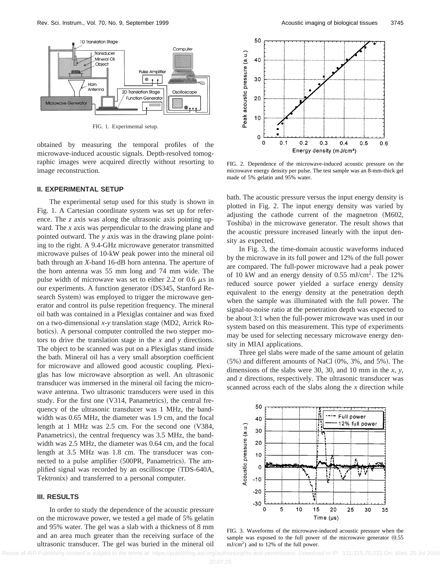

FIG. 1. Experimental setup.

obtained by measuring the temporal profiles of the microwave-induced acoustic signals. Depth-resolved tomographic images were acquired directly without resorting to image reconstruction.

#### **II. EXPERIMENTAL SETUP**

The experimental setup used for this study is shown in Fig. 1. A Cartesian coordinate system was set up for reference. The *z* axis was along the ultrasonic axis pointing upward. The *x* axis was perpendicular to the drawing plane and pointed outward. The *y* axis was in the drawing plane pointing to the right. A 9.4-GHz microwave generator transmitted microwave pulses of 10-kW peak power into the mineral oil bath through an *X*-band 16-dB horn antenna. The aperture of the horn antenna was 55 mm long and 74 mm wide. The pulse width of microwave was set to either 2.2 or 0.6  $\mu$ s in our experiments. A function generator (DS345, Stanford Research System) was employed to trigger the microwave generator and control its pulse repetition frequency. The mineral oil bath was contained in a Plexiglas container and was fixed on a two-dimensional  $x$ -y translation stage (MD2, Arrick Robotics). A personal computer controlled the two stepper motors to drive the translation stage in the *x* and *y* directions. The object to be scanned was put on a Plexiglas stand inside the bath. Mineral oil has a very small absorption coefficient for microwave and allowed good acoustic coupling. Plexiglas has low microwave absorption as well. An ultrasonic transducer was immersed in the mineral oil facing the microwave antenna. Two ultrasonic transducers were used in this study. For the first one  $(V314,$  Panametrics), the central frequency of the ultrasonic transducer was 1 MHz, the bandwidth was 0.65 MHz, the diameter was 1.9 cm, and the focal length at 1 MHz was  $2.5$  cm. For the second one  $(V384,$ Panametrics), the central frequency was 3.5 MHz, the bandwidth was 2.5 MHz, the diameter was 0.64 cm, and the focal length at 3.5 MHz was 1.8 cm. The transducer was connected to a pulse amplifier (500PR, Panametrics). The amplified signal was recorded by an oscilloscope (TDS-640A, Tektronix) and transferred to a personal computer.

#### **III. RESULTS**

In order to study the dependence of the acoustic pressure on the microwave power, we tested a gel made of 5% gelatin and 95% water. The gel was a slab with a thickness of 8 mm and an area much greater than the receiving surface of the ultrasonic transducer. The gel was buried in the mineral oil



FIG. 2. Dependence of the microwave-induced acoustic pressure on the microwave energy density per pulse. The test sample was an 8-mm-thick gel made of 5% gelatin and 95% water.

bath. The acoustic pressure versus the input energy density is plotted in Fig. 2. The input energy density was varied by adjusting the cathode current of the magnetron  $(M602,$ Toshiba) in the microwave generator. The result shows that the acoustic pressure increased linearly with the input density as expected.

In Fig. 3, the time-domain acoustic waveforms induced by the microwave in its full power and 12% of the full power are compared. The full-power microwave had a peak power of 10 kW and an energy density of 0.55 mJ/cm<sup>2</sup>. The 12% reduced source power yielded a surface energy density equivalent to the energy density at the penetration depth when the sample was illuminated with the full power. The signal-to-noise ratio at the penetration depth was expected to be about 3:1 when the full-power microwave was used in our system based on this measurement. This type of experiments may be used for selecting necessary microwave energy density in MIAI applications.

Three gel slabs were made of the same amount of gelatin  $(5\%)$  and different amounts of NaCl  $(0\%, 3\%, \text{ and } 5\%)$ . The dimensions of the slabs were 30, 30, and 10 mm in the *x*, *y*, and *z* directions, respectively. The ultrasonic transducer was scanned across each of the slabs along the *x* direction while



FIG. 3. Waveforms of the microwave-induced acoustic pressure when the sample was exposed to the full power of the microwave generator  $(0.55$  $mJ/cm<sup>2</sup>$ ) and to 12% of the full power.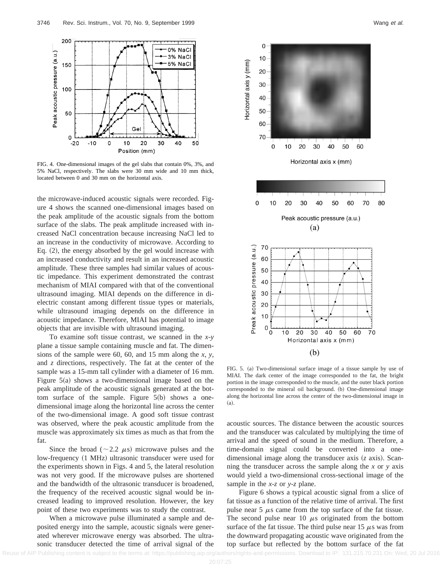

FIG. 4. One-dimensional images of the gel slabs that contain 0%, 3%, and 5% NaCl, respectively. The slabs were 30 mm wide and 10 mm thick, located between 0 and 30 mm on the horizontal axis.

the microwave-induced acoustic signals were recorded. Figure 4 shows the scanned one-dimensional images based on the peak amplitude of the acoustic signals from the bottom surface of the slabs. The peak amplitude increased with increased NaCl concentration because increasing NaCl led to an increase in the conductivity of microwave. According to Eq.  $(2)$ , the energy absorbed by the gel would increase with an increased conductivity and result in an increased acoustic amplitude. These three samples had similar values of acoustic impedance. This experiment demonstrated the contrast mechanism of MIAI compared with that of the conventional ultrasound imaging. MIAI depends on the difference in dielectric constant among different tissue types or materials, while ultrasound imaging depends on the difference in acoustic impedance. Therefore, MIAI has potential to image objects that are invisible with ultrasound imaging.

To examine soft tissue contrast, we scanned in the *x-y* plane a tissue sample containing muscle and fat. The dimensions of the sample were 60, 60, and 15 mm along the *x*, *y*, and *z* directions, respectively. The fat at the center of the sample was a 15-mm tall cylinder with a diameter of 16 mm. Figure  $5(a)$  shows a two-dimensional image based on the peak amplitude of the acoustic signals generated at the bottom surface of the sample. Figure  $5(b)$  shows a onedimensional image along the horizontal line across the center of the two-dimensional image. A good soft tissue contrast was observed, where the peak acoustic amplitude from the muscle was approximately six times as much as that from the fat.

Since the broad ( $\sim$ 2.2  $\mu$ s) microwave pulses and the low-frequency (1 MHz) ultrasonic transducer were used for the experiments shown in Figs. 4 and 5, the lateral resolution was not very good. If the microwave pulses are shortened and the bandwidth of the ultrasonic transducer is broadened, the frequency of the received acoustic signal would be increased leading to improved resolution. However, the key point of these two experiments was to study the contrast.

When a microwave pulse illuminated a sample and deposited energy into the sample, acoustic signals were generated wherever microwave energy was absorbed. The ultrasonic transducer detected the time of arrival signal of the



FIG. 5. (a) Two-dimensional surface image of a tissue sample by use of MIAI. The dark center of the image corresponded to the fat, the bright portion in the image corresponded to the muscle, and the outer black portion corresponded to the mineral oil background. (b) One-dimensional image along the horizontal line across the center of the two-dimensional image in  $(a).$ 

acoustic sources. The distance between the acoustic sources and the transducer was calculated by multiplying the time of arrival and the speed of sound in the medium. Therefore, a time-domain signal could be converted into a onedimensional image along the transducer axis (*z* axis). Scanning the transducer across the sample along the *x* or *y* axis would yield a two-dimensional cross-sectional image of the sample in the *x-z* or *y*-*z* plane.

Figure 6 shows a typical acoustic signal from a slice of fat tissue as a function of the relative time of arrival. The first pulse near 5  $\mu$ s came from the top surface of the fat tissue. The second pulse near 10  $\mu$ s originated from the bottom surface of the fat tissue. The third pulse near 15  $\mu$ s was from the downward propagating acoustic wave originated from the top surface but reflected by the bottom surface of the fat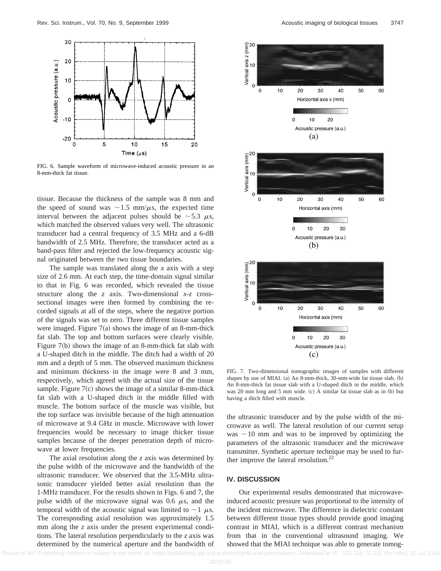

FIG. 6. Sample waveform of microwave-induced acoustic pressure in an 8-mm-thick fat tissue.

tissue. Because the thickness of the sample was 8 mm and the speed of sound was  $\sim 1.5$  mm/ $\mu$ s, the expected time interval between the adjacent pulses should be  $\sim$  5.3  $\mu$ s, which matched the observed values very well. The ultrasonic transducer had a central frequency of 3.5 MHz and a 6-dB bandwidth of 2.5 MHz. Therefore, the transducer acted as a band-pass filter and rejected the low-frequency acoustic signal originated between the two tissue boundaries.

The sample was translated along the *x* axis with a step size of 2.6 mm. At each step, the time-domain signal similar to that in Fig. 6 was recorded, which revealed the tissue structure along the *z* axis. Two-dimensional *x-z* crosssectional images were then formed by combining the recorded signals at all of the steps, where the negative portion of the signals was set to zero. Three different tissue samples were imaged. Figure  $7(a)$  shows the image of an 8-mm-thick fat slab. The top and bottom surfaces were clearly visible. Figure  $7(b)$  shows the image of an 8-mm-thick fat slab with a U-shaped ditch in the middle. The ditch had a width of 20 mm and a depth of 5 mm. The observed maximum thickness and minimum thickness in the image were 8 and 3 mm, respectively, which agreed with the actual size of the tissue sample. Figure  $7(c)$  shows the image of a similar 8-mm-thick fat slab with a U-shaped ditch in the middle filled with muscle. The bottom surface of the muscle was visible, but the top surface was invisible because of the high attenuation of microwave at 9.4 GHz in muscle. Microwave with lower frequencies would be necessary to image thicker tissue samples because of the deeper penetration depth of microwave at lower frequencies.

The axial resolution along the *z* axis was determined by the pulse width of the microwave and the bandwidth of the ultrasonic transducer. We observed that the 3.5-MHz ultrasonic transducer yielded better axial resolution than the 1-MHz transducer. For the results shown in Figs. 6 and 7, the pulse width of the microwave signal was 0.6  $\mu$ s, and the temporal width of the acoustic signal was limited to  $\sim$  1  $\mu$ s. The corresponding axial resolution was approximately 1.5 mm along the *z* axis under the present experimental conditions. The lateral resolution perpendicularly to the *z* axis was determined by the numerical aperture and the bandwidth of



FIG. 7. Two-dimensional tomographic images of samples with different shapes by use of MIAI.  $(a)$  An 8-mm-thick, 30-mm-wide fat tissue slab.  $(b)$ An 8-mm-thick fat tissue slab with a U-shaped ditch in the middle, which was 20 mm long and 5 mm wide. (c) A similar fat tissue slab as in (b) but having a ditch filled with muscle.

the ultrasonic transducer and by the pulse width of the microwave as well. The lateral resolution of our current setup was  $\sim$ 10 mm and was to be improved by optimizing the parameters of the ultrasonic transducer and the microwave transmitter. Synthetic aperture technique may be used to further improve the lateral resolution.<sup>22</sup>

## **IV. DISCUSSION**

Our experimental results demonstrated that microwaveinduced acoustic pressure was proportional to the intensity of the incident microwave. The difference in dielectric constant between different tissue types should provide good imaging contrast in MIAI, which is a different contrast mechanism from that in the conventional ultrasound imaging. We showed that the MIAI technique was able to generate tomog